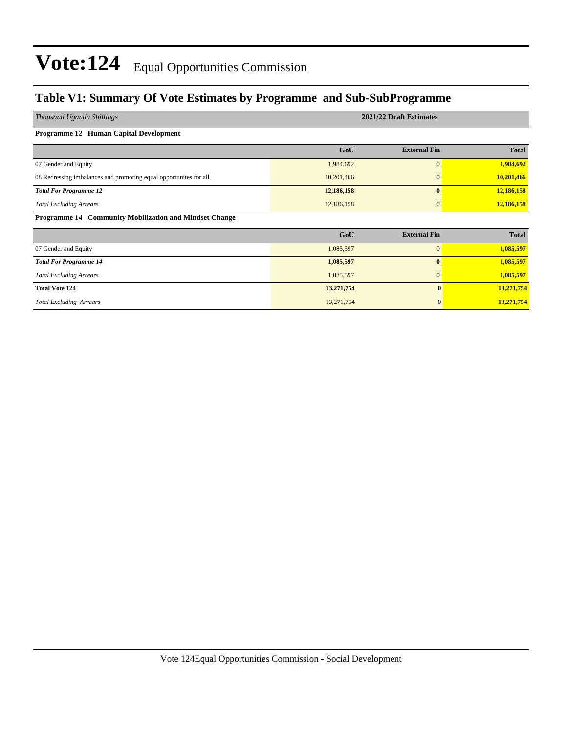### **Table V1: Summary Of Vote Estimates by Programme and Sub-SubProgramme**

| Thousand Uganda Shillings                                          | 2021/22 Draft Estimates |                     |              |  |  |  |  |  |  |
|--------------------------------------------------------------------|-------------------------|---------------------|--------------|--|--|--|--|--|--|
| Programme 12 Human Capital Development                             |                         |                     |              |  |  |  |  |  |  |
|                                                                    | GoU                     | <b>External Fin</b> | <b>Total</b> |  |  |  |  |  |  |
| 07 Gender and Equity                                               | 1,984,692               | $\mathbf{0}$        | 1,984,692    |  |  |  |  |  |  |
| 08 Redressing imbalances and promoting equal opportunities for all | 10,201,466              | $\mathbf{0}$        | 10,201,466   |  |  |  |  |  |  |
| <b>Total For Programme 12</b>                                      | 12,186,158              | $\mathbf{0}$        | 12,186,158   |  |  |  |  |  |  |
| <b>Total Excluding Arrears</b>                                     | 12,186,158              | $\mathbf{0}$        | 12,186,158   |  |  |  |  |  |  |
| Programme 14 Community Mobilization and Mindset Change             |                         |                     |              |  |  |  |  |  |  |
|                                                                    | GoU                     | <b>External Fin</b> | <b>Total</b> |  |  |  |  |  |  |
| 07 Gender and Equity                                               | 1,085,597               | $\mathbf{0}$        | 1,085,597    |  |  |  |  |  |  |
| <b>Total For Programme 14</b>                                      | 1,085,597               | $\mathbf{0}$        | 1,085,597    |  |  |  |  |  |  |
| <b>Total Excluding Arrears</b>                                     | 1,085,597               | $\mathbf{0}$        | 1,085,597    |  |  |  |  |  |  |
| <b>Total Vote 124</b>                                              | 13,271,754              | $\mathbf{0}$        | 13,271,754   |  |  |  |  |  |  |
| <b>Total Excluding Arrears</b>                                     | 13,271,754              | $\mathbf{0}$        | 13,271,754   |  |  |  |  |  |  |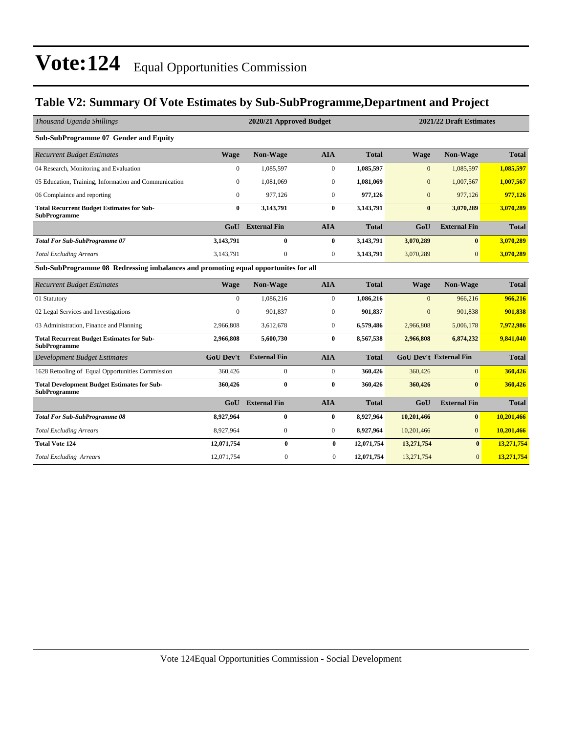### **Table V2: Summary Of Vote Estimates by Sub-SubProgramme,Department and Project**

| Thousand Uganda Shillings                                                          |                  | 2021/22 Draft Estimates<br>2020/21 Approved Budget |                  |              |                  |                               |              |  |
|------------------------------------------------------------------------------------|------------------|----------------------------------------------------|------------------|--------------|------------------|-------------------------------|--------------|--|
| Sub-SubProgramme 07 Gender and Equity                                              |                  |                                                    |                  |              |                  |                               |              |  |
| <b>Recurrent Budget Estimates</b>                                                  | <b>Wage</b>      | Non-Wage                                           | <b>AIA</b>       | <b>Total</b> | <b>Wage</b>      | Non-Wage                      | <b>Total</b> |  |
| 04 Research, Monitoring and Evaluation                                             | $\mathbf{0}$     | 1,085,597                                          | $\mathbf{0}$     | 1,085,597    | $\mathbf{0}$     | 1,085,597                     | 1,085,597    |  |
| 05 Education, Training, Information and Communication                              | $\Omega$         | 1,081,069                                          | $\mathbf{0}$     | 1,081,069    | $\overline{0}$   | 1,007,567                     | 1,007,567    |  |
| 06 Complaince and reporting                                                        | $\overline{0}$   | 977,126                                            | $\mathbf{0}$     | 977,126      | $\boldsymbol{0}$ | 977,126                       | 977,126      |  |
| <b>Total Recurrent Budget Estimates for Sub-</b><br><b>SubProgramme</b>            | 0                | 3,143,791                                          | $\mathbf{0}$     | 3,143,791    | $\mathbf{0}$     | 3,070,289                     | 3,070,289    |  |
|                                                                                    | GoU              | <b>External Fin</b>                                | <b>AIA</b>       | <b>Total</b> | GoU              | <b>External Fin</b>           | <b>Total</b> |  |
| <b>Total For Sub-SubProgramme 07</b>                                               | 3,143,791        | $\bf{0}$                                           | $\bf{0}$         | 3,143,791    | 3,070,289        | $\mathbf{0}$                  | 3,070,289    |  |
| <b>Total Excluding Arrears</b>                                                     | 3,143,791        | $\mathbf{0}$                                       | $\mathbf{0}$     | 3,143,791    | 3,070,289        | $\Omega$                      | 3,070,289    |  |
| Sub-SubProgramme 08 Redressing imbalances and promoting equal opportunites for all |                  |                                                    |                  |              |                  |                               |              |  |
| <b>Recurrent Budget Estimates</b>                                                  | <b>Wage</b>      | Non-Wage                                           | <b>AIA</b>       | <b>Total</b> | <b>Wage</b>      | Non-Wage                      | <b>Total</b> |  |
| 01 Statutory                                                                       | $\mathbf{0}$     | 1,086,216                                          | $\mathbf{0}$     | 1,086,216    | $\mathbf{0}$     | 966,216                       | 966.216      |  |
| 02 Legal Services and Investigations                                               | $\Omega$         | 901,837                                            | $\mathbf{0}$     | 901,837      | $\overline{0}$   | 901,838                       | 901,838      |  |
| 03 Administration, Finance and Planning                                            | 2,966,808        | 3,612,678                                          | $\boldsymbol{0}$ | 6,579,486    | 2,966,808        | 5,006,178                     | 7,972,986    |  |
| <b>Total Recurrent Budget Estimates for Sub-</b><br><b>SubProgramme</b>            | 2.966.808        | 5,600,730                                          | $\bf{0}$         | 8,567,538    | 2.966.808        | 6,874,232                     | 9,841,040    |  |
| <b>Development Budget Estimates</b>                                                | <b>GoU Dev't</b> | <b>External Fin</b>                                | <b>AIA</b>       | <b>Total</b> |                  | <b>GoU Dev't External Fin</b> | <b>Total</b> |  |
| 1628 Retooling of Equal Opportunities Commission                                   | 360,426          | $\overline{0}$                                     | $\mathbf{0}$     | 360,426      | 360,426          | $\overline{0}$                | 360,426      |  |
| <b>Total Development Budget Estimates for Sub-</b><br><b>SubProgramme</b>          | 360,426          | $\bf{0}$                                           | $\bf{0}$         | 360,426      | 360,426          | $\mathbf{0}$                  | 360,426      |  |
|                                                                                    | GoU              | <b>External Fin</b>                                | <b>AIA</b>       | <b>Total</b> | GoU              | <b>External Fin</b>           | <b>Total</b> |  |
| <b>Total For Sub-SubProgramme 08</b>                                               | 8,927,964        | 0                                                  | $\bf{0}$         | 8,927,964    | 10,201,466       | $\mathbf{0}$                  | 10.201.466   |  |
| <b>Total Excluding Arrears</b>                                                     | 8,927,964        | $\mathbf{0}$                                       | $\boldsymbol{0}$ | 8,927,964    | 10,201,466       | $\mathbf{0}$                  | 10,201,466   |  |
| <b>Total Vote 124</b>                                                              | 12,071,754       | $\bf{0}$                                           | $\bf{0}$         | 12,071,754   | 13,271,754       | $\bf{0}$                      | 13,271,754   |  |
| <b>Total Excluding Arrears</b>                                                     | 12,071,754       | $\Omega$                                           | $\Omega$         | 12,071,754   | 13,271,754       | $\overline{0}$                | 13,271,754   |  |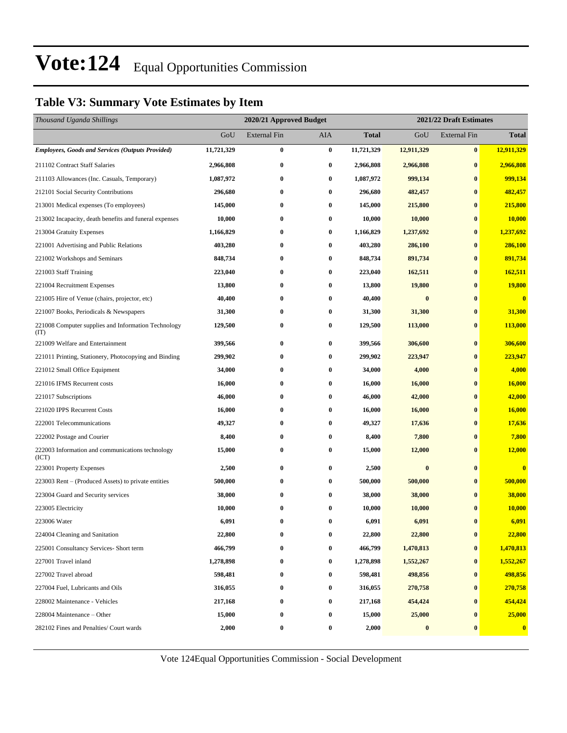### **Table V3: Summary Vote Estimates by Item**

| Thousand Uganda Shillings                                   |            | 2020/21 Approved Budget |                  |            | 2021/22 Draft Estimates |                     |                  |  |
|-------------------------------------------------------------|------------|-------------------------|------------------|------------|-------------------------|---------------------|------------------|--|
|                                                             | GoU        | <b>External Fin</b>     | AIA              | Total      | GoU                     | <b>External Fin</b> | <b>Total</b>     |  |
| <b>Employees, Goods and Services (Outputs Provided)</b>     | 11,721,329 | $\bf{0}$                | $\bf{0}$         | 11,721,329 | 12,911,329              | $\bf{0}$            | 12,911,329       |  |
| 211102 Contract Staff Salaries                              | 2,966,808  | $\bf{0}$                | $\bf{0}$         | 2,966,808  | 2,966,808               | $\bf{0}$            | 2,966,808        |  |
| 211103 Allowances (Inc. Casuals, Temporary)                 | 1,087,972  | $\bf{0}$                | $\bf{0}$         | 1,087,972  | 999,134                 | $\bf{0}$            | 999,134          |  |
| 212101 Social Security Contributions                        | 296,680    | $\bf{0}$                | $\bf{0}$         | 296,680    | 482,457                 | $\bf{0}$            | 482,457          |  |
| 213001 Medical expenses (To employees)                      | 145,000    | $\bf{0}$                | $\bf{0}$         | 145,000    | 215,800                 | $\bf{0}$            | 215,800          |  |
| 213002 Incapacity, death benefits and funeral expenses      | 10,000     | $\bf{0}$                | $\bf{0}$         | 10,000     | 10,000                  | $\bf{0}$            | 10,000           |  |
| 213004 Gratuity Expenses                                    | 1,166,829  | $\bf{0}$                | $\bf{0}$         | 1,166,829  | 1,237,692               | $\bf{0}$            | 1,237,692        |  |
| 221001 Advertising and Public Relations                     | 403,280    | $\bf{0}$                | $\bf{0}$         | 403,280    | 286,100                 | $\bf{0}$            | 286,100          |  |
| 221002 Workshops and Seminars                               | 848,734    | $\bf{0}$                | $\bf{0}$         | 848,734    | 891,734                 | $\bf{0}$            | 891,734          |  |
| 221003 Staff Training                                       | 223,040    | $\bf{0}$                | $\bf{0}$         | 223,040    | 162,511                 | $\bf{0}$            | 162,511          |  |
| 221004 Recruitment Expenses                                 | 13,800     | $\bf{0}$                | $\bf{0}$         | 13,800     | 19,800                  | $\bf{0}$            | 19,800           |  |
| 221005 Hire of Venue (chairs, projector, etc)               | 40,400     | $\bf{0}$                | $\bf{0}$         | 40,400     | $\bf{0}$                | $\bf{0}$            | $\bf{0}$         |  |
| 221007 Books, Periodicals & Newspapers                      | 31,300     | $\bf{0}$                | $\bf{0}$         | 31,300     | 31,300                  | $\bf{0}$            | 31,300           |  |
| 221008 Computer supplies and Information Technology<br>(TT) | 129,500    | $\bf{0}$                | $\bf{0}$         | 129,500    | 113,000                 | $\bf{0}$            | 113,000          |  |
| 221009 Welfare and Entertainment                            | 399,566    | $\bf{0}$                | $\bf{0}$         | 399,566    | 306,600                 | $\bf{0}$            | 306,600          |  |
| 221011 Printing, Stationery, Photocopying and Binding       | 299,902    | $\bf{0}$                | $\bf{0}$         | 299,902    | 223,947                 | $\bf{0}$            | 223,947          |  |
| 221012 Small Office Equipment                               | 34,000     | $\bf{0}$                | $\bf{0}$         | 34,000     | 4,000                   | $\bf{0}$            | 4,000            |  |
| 221016 IFMS Recurrent costs                                 | 16,000     | $\bf{0}$                | $\bf{0}$         | 16,000     | 16,000                  | $\bf{0}$            | 16,000           |  |
| 221017 Subscriptions                                        | 46,000     | $\bf{0}$                | $\bf{0}$         | 46,000     | 42,000                  | $\bf{0}$            | 42,000           |  |
| 221020 IPPS Recurrent Costs                                 | 16,000     | $\bf{0}$                | $\bf{0}$         | 16,000     | 16,000                  | $\bf{0}$            | 16,000           |  |
| 222001 Telecommunications                                   | 49,327     | $\bf{0}$                | $\bf{0}$         | 49,327     | 17,636                  | $\bf{0}$            | 17,636           |  |
| 222002 Postage and Courier                                  | 8,400      | $\bf{0}$                | $\bf{0}$         | 8,400      | 7,800                   | $\bf{0}$            | 7,800            |  |
| 222003 Information and communications technology<br>(ICT)   | 15,000     | $\bf{0}$                | $\bf{0}$         | 15,000     | 12,000                  | $\bf{0}$            | 12,000           |  |
| 223001 Property Expenses                                    | 2,500      | $\bf{0}$                | $\bf{0}$         | 2,500      | $\bf{0}$                | $\bf{0}$            | $\bf{0}$         |  |
| 223003 Rent – (Produced Assets) to private entities         | 500,000    | $\bf{0}$                | $\bf{0}$         | 500,000    | 500,000                 | $\bf{0}$            | 500,000          |  |
| 223004 Guard and Security services                          | 38,000     | $\bf{0}$                | $\bf{0}$         | 38,000     | 38,000                  | $\bf{0}$            | 38,000           |  |
| 223005 Electricity                                          | 10,000     | $\bf{0}$                | $\bf{0}$         | 10,000     | 10,000                  | $\bf{0}$            | 10,000           |  |
| 223006 Water                                                | 6,091      | $\bf{0}$                | 0                | 6,091      | 6,091                   | $\bf{0}$            | 6,091            |  |
| 224004 Cleaning and Sanitation                              | 22,800     | $\bf{0}$                | $\bf{0}$         | 22,800     | 22,800                  | $\bf{0}$            | 22,800           |  |
| 225001 Consultancy Services- Short term                     | 466,799    | $\bf{0}$                | 0                | 466,799    | 1,470,813               | $\bf{0}$            | 1,470,813        |  |
| 227001 Travel inland                                        | 1,278,898  | $\bf{0}$                | $\boldsymbol{0}$ | 1,278,898  | 1,552,267               | $\bf{0}$            | 1,552,267        |  |
| 227002 Travel abroad                                        | 598,481    | $\bf{0}$                | $\bf{0}$         | 598,481    | 498,856                 | $\bf{0}$            | 498,856          |  |
| 227004 Fuel, Lubricants and Oils                            | 316,055    | $\bf{0}$                | 0                | 316,055    | 270,758                 | $\bf{0}$            | 270,758          |  |
| 228002 Maintenance - Vehicles                               | 217,168    | $\bf{0}$                | 0                | 217,168    | 454,424                 | $\bf{0}$            | 454,424          |  |
| 228004 Maintenance - Other                                  | 15,000     | $\bf{0}$                | 0                | 15,000     | 25,000                  | $\bf{0}$            | 25,000           |  |
| 282102 Fines and Penalties/ Court wards                     | 2,000      | $\bf{0}$                | $\boldsymbol{0}$ | 2,000      | $\bf{0}$                | $\bf{0}$            | $\boldsymbol{0}$ |  |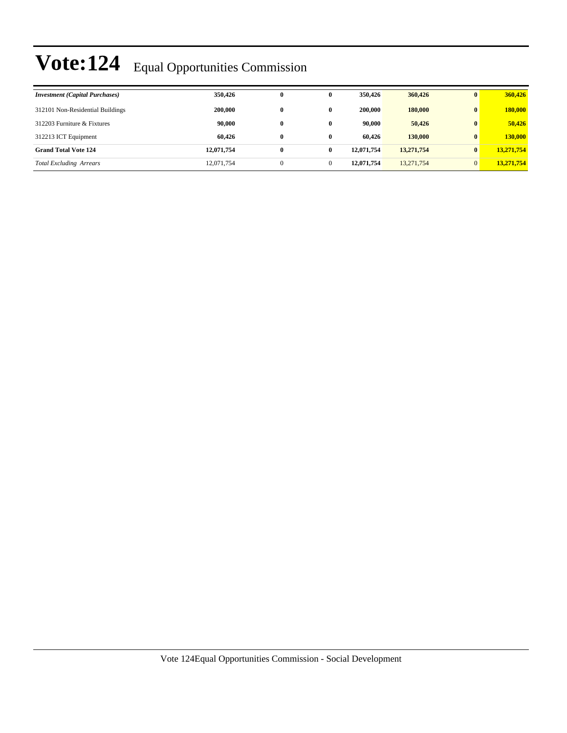| <b>Investment</b> (Capital Purchases) | 350,426    | 0            |          | 350,426    | 360,426    | $\mathbf{0}$ | 360,426    |
|---------------------------------------|------------|--------------|----------|------------|------------|--------------|------------|
| 312101 Non-Residential Buildings      | 200,000    | 0            |          | 200,000    | 180,000    |              | 180,000    |
| 312203 Furniture & Fixtures           | 90,000     | 0            | 0        | 90,000     | 50,426     | $\mathbf{0}$ | 50,426     |
| 312213 ICT Equipment                  | 60.426     | 0            | $\bf{0}$ | 60.426     | 130,000    | $\mathbf{0}$ | 130,000    |
| <b>Grand Total Vote 124</b>           | 12,071,754 | 0            | 0        | 12,071,754 | 13,271,754 | $\mathbf{0}$ | 13,271,754 |
| <b>Total Excluding Arrears</b>        | 12,071,754 | $\mathbf{0}$ |          | 12,071,754 | 13,271,754 | $\Omega$     | 13,271,754 |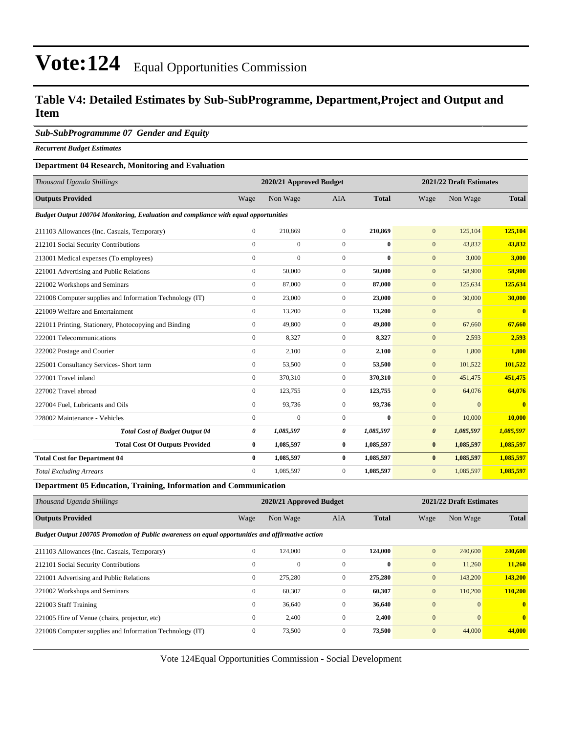### **Table V4: Detailed Estimates by Sub-SubProgramme, Department,Project and Output and Item**

#### *Sub-SubProgrammme 07 Gender and Equity*

*Recurrent Budget Estimates*

#### **Department 04 Research, Monitoring and Evaluation**

| Thousand Uganda Shillings                                                           |                | 2020/21 Approved Budget |                |              |                       | 2021/22 Draft Estimates |                         |  |
|-------------------------------------------------------------------------------------|----------------|-------------------------|----------------|--------------|-----------------------|-------------------------|-------------------------|--|
| <b>Outputs Provided</b>                                                             | Wage           | Non Wage                | <b>AIA</b>     | <b>Total</b> | Wage                  | Non Wage                | <b>Total</b>            |  |
| Budget Output 100704 Monitoring, Evaluation and compliance with equal opportunities |                |                         |                |              |                       |                         |                         |  |
| 211103 Allowances (Inc. Casuals, Temporary)                                         | $\overline{0}$ | 210,869                 | $\overline{0}$ | 210,869      | $\mathbf{0}$          | 125,104                 | 125,104                 |  |
| 212101 Social Security Contributions                                                | $\mathbf{0}$   | $\mathbf{0}$            | $\overline{0}$ | $\mathbf{0}$ | $\mathbf{0}$          | 43,832                  | 43,832                  |  |
| 213001 Medical expenses (To employees)                                              | $\Omega$       | $\mathbf{0}$            | $\Omega$       | $\mathbf{0}$ | $\mathbf{0}$          | 3,000                   | 3,000                   |  |
| 221001 Advertising and Public Relations                                             | $\mathbf{0}$   | 50,000                  | $\overline{0}$ | 50,000       | $\mathbf{0}$          | 58,900                  | 58,900                  |  |
| 221002 Workshops and Seminars                                                       | $\overline{0}$ | 87,000                  | $\overline{0}$ | 87,000       | $\mathbf{0}$          | 125,634                 | 125,634                 |  |
| 221008 Computer supplies and Information Technology (IT)                            | $\mathbf{0}$   | 23,000                  | $\overline{0}$ | 23,000       | $\mathbf{0}$          | 30,000                  | 30,000                  |  |
| 221009 Welfare and Entertainment                                                    | $\mathbf{0}$   | 13,200                  | $\overline{0}$ | 13,200       | $\mathbf{0}$          | $\mathbf{0}$            | $\overline{\mathbf{0}}$ |  |
| 221011 Printing, Stationery, Photocopying and Binding                               | $\mathbf{0}$   | 49,800                  | $\overline{0}$ | 49,800       | $\mathbf{0}$          | 67,660                  | 67,660                  |  |
| 222001 Telecommunications                                                           | $\mathbf{0}$   | 8,327                   | $\overline{0}$ | 8,327        | $\mathbf{0}$          | 2,593                   | 2,593                   |  |
| 222002 Postage and Courier                                                          | $\mathbf{0}$   | 2.100                   | $\overline{0}$ | 2,100        | $\mathbf{0}$          | 1,800                   | 1.800                   |  |
| 225001 Consultancy Services- Short term                                             | $\overline{0}$ | 53,500                  | $\overline{0}$ | 53,500       | $\mathbf{0}$          | 101,522                 | 101,522                 |  |
| 227001 Travel inland                                                                | $\mathbf{0}$   | 370,310                 | $\overline{0}$ | 370,310      | $\mathbf{0}$          | 451,475                 | 451,475                 |  |
| 227002 Travel abroad                                                                | $\overline{0}$ | 123,755                 | $\overline{0}$ | 123,755      | $\mathbf{0}$          | 64,076                  | 64,076                  |  |
| 227004 Fuel, Lubricants and Oils                                                    | $\overline{0}$ | 93,736                  | $\overline{0}$ | 93,736       | $\mathbf{0}$          | $\Omega$                | $\mathbf{0}$            |  |
| 228002 Maintenance - Vehicles                                                       | $\mathbf{0}$   | $\mathbf{0}$            | $\overline{0}$ | $\bf{0}$     | $\mathbf{0}$          | 10,000                  | 10,000                  |  |
| <b>Total Cost of Budget Output 04</b>                                               | 0              | 1,085,597               | 0              | 1,085,597    | $\boldsymbol{\theta}$ | 1,085,597               | 1,085,597               |  |
| <b>Total Cost Of Outputs Provided</b>                                               | $\bf{0}$       | 1,085,597               | $\bf{0}$       | 1,085,597    | $\bf{0}$              | 1,085,597               | 1,085,597               |  |
| <b>Total Cost for Department 04</b>                                                 | $\bf{0}$       | 1,085,597               | $\bf{0}$       | 1,085,597    | $\bf{0}$              | 1,085,597               | 1,085,597               |  |
| <b>Total Excluding Arrears</b>                                                      | $\overline{0}$ | 1,085,597               | $\overline{0}$ | 1,085,597    | $\mathbf{0}$          | 1,085,597               | 1,085,597               |  |

**Department 05 Education, Training, Information and Communication**

| Thousand Uganda Shillings                                                                        | 2020/21 Approved Budget |              |              |              |                  | 2021/22 Draft Estimates |                         |  |  |  |
|--------------------------------------------------------------------------------------------------|-------------------------|--------------|--------------|--------------|------------------|-------------------------|-------------------------|--|--|--|
| <b>Outputs Provided</b>                                                                          | Wage                    | Non Wage     | <b>AIA</b>   | <b>Total</b> | Wage             | Non Wage                | <b>Total</b>            |  |  |  |
| Budget Output 100705 Promotion of Public awareness on equal opportunities and affirmative action |                         |              |              |              |                  |                         |                         |  |  |  |
| 211103 Allowances (Inc. Casuals, Temporary)                                                      | $\overline{0}$          | 124,000      | $\mathbf{0}$ | 124,000      | $\overline{0}$   | 240,600                 | 240,600                 |  |  |  |
| 212101 Social Security Contributions                                                             | $\mathbf{0}$            | $\mathbf{0}$ | $\Omega$     | $\bf{0}$     | $\mathbf{0}$     | 11,260                  | 11,260                  |  |  |  |
| 221001 Advertising and Public Relations                                                          | $\overline{0}$          | 275,280      | $\mathbf{0}$ | 275,280      | $\boldsymbol{0}$ | 143,200                 | 143,200                 |  |  |  |
| 221002 Workshops and Seminars                                                                    | $\overline{0}$          | 60,307       | $\mathbf{0}$ | 60,307       | $\overline{0}$   | 110,200                 | 110,200                 |  |  |  |
| 221003 Staff Training                                                                            | $\mathbf{0}$            | 36,640       | $\mathbf{0}$ | 36,640       | $\overline{0}$   | $\Omega$                | $\overline{\mathbf{0}}$ |  |  |  |
| 221005 Hire of Venue (chairs, projector, etc)                                                    | $\overline{0}$          | 2,400        | $\mathbf{0}$ | 2,400        | $\mathbf{0}$     | $\Omega$                | $\overline{\mathbf{0}}$ |  |  |  |
| 221008 Computer supplies and Information Technology (IT)                                         | $\overline{0}$          | 73,500       | $\mathbf{0}$ | 73,500       | $\mathbf{0}$     | 44,000                  | 44,000                  |  |  |  |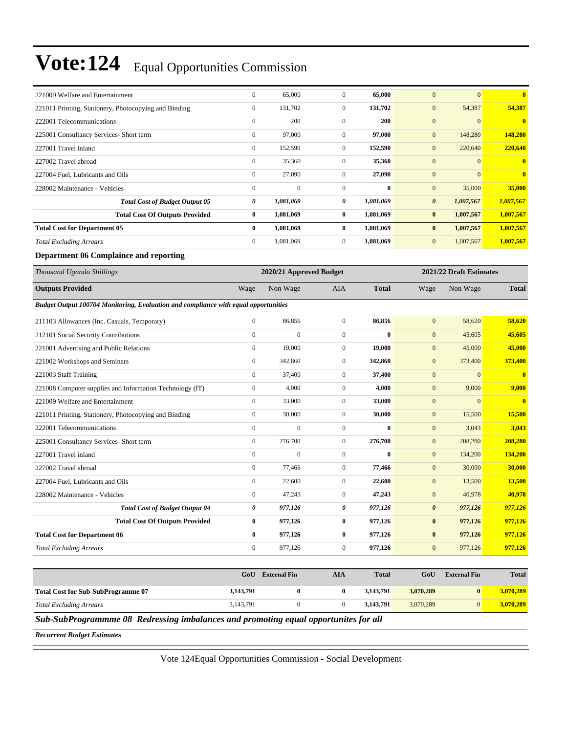| 221009 Welfare and Entertainment                      | $\boldsymbol{0}$ | 65,000       | $\overline{0}$ | 65,000     | $\mathbf{0}$<br>$\Omega$           | $\overline{0}$ |
|-------------------------------------------------------|------------------|--------------|----------------|------------|------------------------------------|----------------|
| 221011 Printing, Stationery, Photocopying and Binding | $\boldsymbol{0}$ | 131,702      | $\overline{0}$ | 131,702    | $\mathbf{0}$<br>54,387             | 54,387         |
| 222001 Telecommunications                             | $\mathbf{0}$     | 200          | $\mathbf{0}$   | <b>200</b> | $\mathbf{0}$<br>$\Omega$           | $\mathbf{0}$   |
| 225001 Consultancy Services- Short term               | $\mathbf{0}$     | 97,000       | $\mathbf{0}$   | 97,000     | $\mathbf{0}$<br>148,280            | 148,280        |
| 227001 Travel inland                                  | $\overline{0}$   | 152,590      | $\overline{0}$ | 152,590    | $\mathbf{0}$<br>220,640            | 220,640        |
| 227002 Travel abroad                                  | $\overline{0}$   | 35,360       | $\overline{0}$ | 35,360     | $\mathbf{0}$<br>$\mathbf{0}$       | $\mathbf{0}$   |
| 227004 Fuel, Lubricants and Oils                      | $\overline{0}$   | 27,090       | $\overline{0}$ | 27,090     | $\mathbf{0}$<br>$\mathbf{0}$       | $\overline{0}$ |
| 228002 Maintenance - Vehicles                         | $\overline{0}$   | $\mathbf{0}$ | $\overline{0}$ | $\bf{0}$   | $\mathbf{0}$<br>35,000             | 35,000         |
| <b>Total Cost of Budget Output 05</b>                 | 0                | 1,081,069    | 0              | 1,081,069  | $\boldsymbol{\theta}$<br>1,007,567 | 1,007,567      |
| <b>Total Cost Of Outputs Provided</b>                 | $\bf{0}$         | 1,081,069    | $\bf{0}$       | 1,081,069  | $\bf{0}$<br>1,007,567              | 1,007,567      |
| <b>Total Cost for Department 05</b>                   | $\bf{0}$         | 1,081,069    | $\bf{0}$       | 1,081,069  | $\bf{0}$<br>1,007,567              | 1,007,567      |
| <b>Total Excluding Arrears</b>                        | $\overline{0}$   | 1,081,069    | $\overline{0}$ | 1,081,069  | $\mathbf{0}$<br>1,007,567          | 1,007,567      |
| Department 06 Complaince and reporting                |                  |              |                |            |                                    |                |

| Thousand Uganda Shillings                                                           | 2020/21 Approved Budget |                  |                  |              |                       | 2021/22 Draft Estimates |              |  |
|-------------------------------------------------------------------------------------|-------------------------|------------------|------------------|--------------|-----------------------|-------------------------|--------------|--|
| <b>Outputs Provided</b>                                                             | Wage                    | Non Wage         | <b>AIA</b>       | <b>Total</b> | Wage                  | Non Wage                | <b>Total</b> |  |
| Budget Output 100704 Monitoring, Evaluation and compliance with equal opportunities |                         |                  |                  |              |                       |                         |              |  |
| 211103 Allowances (Inc. Casuals, Temporary)                                         | $\overline{0}$          | 86,856           | $\mathbf{0}$     | 86,856       | $\mathbf{0}$          | 58,620                  | 58,620       |  |
| 212101 Social Security Contributions                                                | $\overline{0}$          | $\mathbf{0}$     | $\mathbf{0}$     | $\bf{0}$     | $\mathbf{0}$          | 45,605                  | 45,605       |  |
| 221001 Advertising and Public Relations                                             | $\boldsymbol{0}$        | 19,000           | $\mathbf{0}$     | 19,000       | $\mathbf{0}$          | 45,000                  | 45,000       |  |
| 221002 Workshops and Seminars                                                       | $\overline{0}$          | 342,860          | $\mathbf{0}$     | 342,860      | $\boldsymbol{0}$      | 373,400                 | 373,400      |  |
| 221003 Staff Training                                                               | $\overline{0}$          | 37,400           | $\mathbf{0}$     | 37,400       | $\mathbf{0}$          | $\mathbf{0}$            | $\bf{0}$     |  |
| 221008 Computer supplies and Information Technology (IT)                            | $\overline{0}$          | 4,000            | $\mathbf{0}$     | 4.000        | $\mathbf{0}$          | 9,000                   | 9.000        |  |
| 221009 Welfare and Entertainment                                                    | $\overline{0}$          | 33,000           | $\mathbf{0}$     | 33,000       | $\mathbf{0}$          | $\mathbf{0}$            | $\mathbf{0}$ |  |
| 221011 Printing, Stationery, Photocopying and Binding                               | $\boldsymbol{0}$        | 30,000           | $\mathbf{0}$     | 30,000       | $\mathbf{0}$          | 15,500                  | 15,500       |  |
| 222001 Telecommunications                                                           | $\overline{0}$          | $\boldsymbol{0}$ | $\boldsymbol{0}$ | $\bf{0}$     | $\boldsymbol{0}$      | 3,043                   | 3,043        |  |
| 225001 Consultancy Services- Short term                                             | $\overline{0}$          | 276,700          | $\mathbf{0}$     | 276,700      | $\mathbf{0}$          | 208,280                 | 208,280      |  |
| 227001 Travel inland                                                                | $\overline{0}$          | $\mathbf{0}$     | $\mathbf{0}$     | $\bf{0}$     | $\overline{0}$        | 134,200                 | 134,200      |  |
| 227002 Travel abroad                                                                | $\overline{0}$          | 77,466           | $\mathbf{0}$     | 77,466       | $\mathbf{0}$          | 30,000                  | 30,000       |  |
| 227004 Fuel, Lubricants and Oils                                                    | $\overline{0}$          | 22,600           | $\mathbf{0}$     | 22,600       | $\mathbf{0}$          | 13,500                  | 13,500       |  |
| 228002 Maintenance - Vehicles                                                       | $\overline{0}$          | 47,243           | $\mathbf{0}$     | 47,243       | $\mathbf{0}$          | 40,978                  | 40,978       |  |
| <b>Total Cost of Budget Output 04</b>                                               | 0                       | 977,126          | 0                | 977,126      | $\boldsymbol{\theta}$ | 977,126                 | 977,126      |  |
| <b>Total Cost Of Outputs Provided</b>                                               | $\bf{0}$                | 977,126          | $\bf{0}$         | 977,126      | $\bf{0}$              | 977,126                 | 977,126      |  |
| <b>Total Cost for Department 06</b>                                                 | $\bf{0}$                | 977,126          | $\bf{0}$         | 977,126      | $\bf{0}$              | 977,126                 | 977,126      |  |
| <b>Total Excluding Arrears</b>                                                      | $\mathbf{0}$            | 977,126          | $\mathbf{0}$     | 977,126      | $\mathbf{0}$          | 977,126                 | 977,126      |  |
|                                                                                     |                         |                  |                  |              |                       |                         |              |  |

|                                                                                          | GoU       | <b>External Fin</b> | AIA | <b>Total</b> | GoU       | <b>External Fin</b> | <b>Total</b> |  |
|------------------------------------------------------------------------------------------|-----------|---------------------|-----|--------------|-----------|---------------------|--------------|--|
| <b>Total Cost for Sub-SubProgramme 07</b>                                                | 3,143,791 |                     |     | 3.143.791    | 3.070.289 | 0                   | 3.070.289    |  |
| <b>Total Excluding Arrears</b>                                                           | 3.143.791 |                     |     | 3,143,791    | 3.070.289 | $\Omega$            | 3.070.289    |  |
| S. b S. b Dreamenton a 00 Dadressing inhalances and promotive equal appointmites for all |           |                     |     |              |           |                     |              |  |

*Sub-SubProgrammme 08 Redressing imbalances and promoting equal opportunites for all*

*Recurrent Budget Estimates*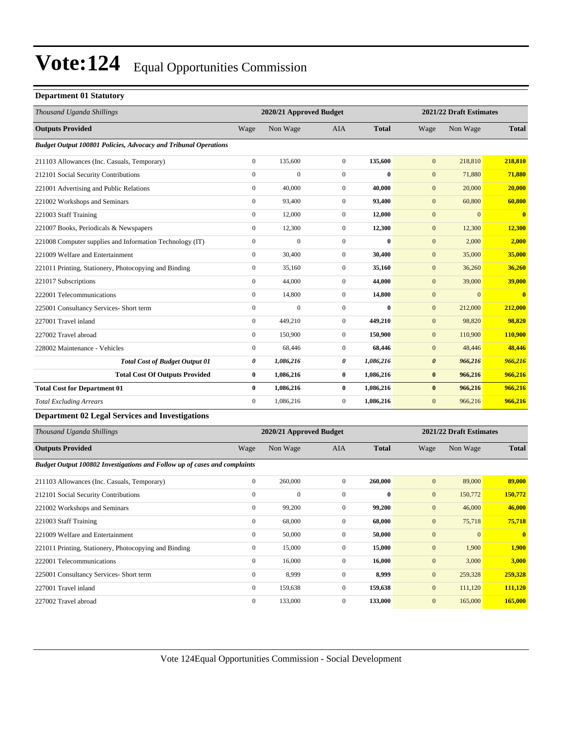#### **Department 01 Statutory**

| Thousand Uganda Shillings                                                 |                  | 2020/21 Approved Budget |                  |              |                  | 2021/22 Draft Estimates |               |  |
|---------------------------------------------------------------------------|------------------|-------------------------|------------------|--------------|------------------|-------------------------|---------------|--|
| <b>Outputs Provided</b>                                                   | Wage             | Non Wage                | AIA              | <b>Total</b> | Wage             | Non Wage                | <b>Total</b>  |  |
| Budget Output 100801 Policies, Advocacy and Tribunal Operations           |                  |                         |                  |              |                  |                         |               |  |
| 211103 Allowances (Inc. Casuals, Temporary)                               | $\boldsymbol{0}$ | 135,600                 | $\mathbf{0}$     | 135,600      | $\mathbf{0}$     | 218,810                 | 218,810       |  |
| 212101 Social Security Contributions                                      | $\boldsymbol{0}$ | $\overline{0}$          | $\boldsymbol{0}$ | $\bf{0}$     | $\boldsymbol{0}$ | 71,880                  | 71,880        |  |
| 221001 Advertising and Public Relations                                   | $\boldsymbol{0}$ | 40,000                  | $\boldsymbol{0}$ | 40,000       | $\mathbf{0}$     | 20,000                  | 20,000        |  |
| 221002 Workshops and Seminars                                             | $\boldsymbol{0}$ | 93,400                  | $\boldsymbol{0}$ | 93,400       | $\boldsymbol{0}$ | 60,800                  | 60,800        |  |
| 221003 Staff Training                                                     | $\boldsymbol{0}$ | 12,000                  | $\mathbf{0}$     | 12,000       | $\boldsymbol{0}$ | $\mathbf{0}$            | $\bf{0}$      |  |
| 221007 Books, Periodicals & Newspapers                                    | $\boldsymbol{0}$ | 12,300                  | $\mathbf{0}$     | 12,300       | $\boldsymbol{0}$ | 12,300                  | <b>12,300</b> |  |
| 221008 Computer supplies and Information Technology (IT)                  | $\boldsymbol{0}$ | $\mathbf{0}$            | $\mathbf{0}$     | $\bf{0}$     | $\boldsymbol{0}$ | 2,000                   | 2,000         |  |
| 221009 Welfare and Entertainment                                          | $\boldsymbol{0}$ | 30,400                  | $\mathbf{0}$     | 30,400       | $\mathbf{0}$     | 35,000                  | 35,000        |  |
| 221011 Printing, Stationery, Photocopying and Binding                     | $\boldsymbol{0}$ | 35,160                  | $\boldsymbol{0}$ | 35,160       | $\boldsymbol{0}$ | 36,260                  | 36,260        |  |
| 221017 Subscriptions                                                      | $\boldsymbol{0}$ | 44,000                  | $\mathbf{0}$     | 44,000       | $\boldsymbol{0}$ | 39,000                  | 39,000        |  |
| 222001 Telecommunications                                                 | $\boldsymbol{0}$ | 14,800                  | $\boldsymbol{0}$ | 14,800       | $\boldsymbol{0}$ | $\Omega$                | $\bf{0}$      |  |
| 225001 Consultancy Services- Short term                                   | $\boldsymbol{0}$ | $\mathbf{0}$            | $\mathbf{0}$     | $\mathbf{0}$ | $\boldsymbol{0}$ | 212,000                 | 212,000       |  |
| 227001 Travel inland                                                      | $\boldsymbol{0}$ | 449,210                 | $\mathbf{0}$     | 449,210      | $\mathbf{0}$     | 98,820                  | 98,820        |  |
| 227002 Travel abroad                                                      | $\boldsymbol{0}$ | 150,900                 | $\boldsymbol{0}$ | 150,900      | $\boldsymbol{0}$ | 110,900                 | 110,900       |  |
| 228002 Maintenance - Vehicles                                             | $\boldsymbol{0}$ | 68,446                  | $\mathbf{0}$     | 68,446       | $\boldsymbol{0}$ | 48,446                  | 48,446        |  |
| <b>Total Cost of Budget Output 01</b>                                     | 0                | 1,086,216               | 0                | 1,086,216    | $\pmb{\theta}$   | 966,216                 | 966,216       |  |
| <b>Total Cost Of Outputs Provided</b>                                     | $\bf{0}$         | 1,086,216               | $\bf{0}$         | 1,086,216    | $\bf{0}$         | 966,216                 | 966,216       |  |
| <b>Total Cost for Department 01</b>                                       | $\bf{0}$         | 1,086,216               | $\bf{0}$         | 1,086,216    | $\bf{0}$         | 966,216                 | 966,216       |  |
| <b>Total Excluding Arrears</b>                                            | $\boldsymbol{0}$ | 1,086,216               | $\boldsymbol{0}$ | 1,086,216    | $\boldsymbol{0}$ | 966,216                 | 966,216       |  |
| <b>Department 02 Legal Services and Investigations</b>                    |                  |                         |                  |              |                  |                         |               |  |
| Thousand Uganda Shillings                                                 |                  | 2020/21 Approved Budget |                  |              |                  | 2021/22 Draft Estimates |               |  |
| <b>Outputs Provided</b>                                                   | Wage             | Non Wage                | AIA              | <b>Total</b> | Wage             | Non Wage                | <b>Total</b>  |  |
| Budget Output 100802 Investigations and Follow up of cases and complaints |                  |                         |                  |              |                  |                         |               |  |
| 211103 Allowances (Inc. Casuals, Temporary)                               | $\boldsymbol{0}$ | 260,000                 | $\boldsymbol{0}$ | 260,000      | $\mathbf{0}$     | 89,000                  | 89,000        |  |
| 212101 Social Security Contributions                                      | $\boldsymbol{0}$ | $\overline{0}$          | $\mathbf{0}$     | $\bf{0}$     | $\mathbf{0}$     | 150,772                 | 150,772       |  |
| 221002 Workshops and Seminars                                             | $\boldsymbol{0}$ | 99,200                  | $\mathbf{0}$     | 99,200       | $\mathbf{0}$     | 46,000                  | 46,000        |  |
| 221003 Staff Training                                                     | $\boldsymbol{0}$ | 68,000                  | $\boldsymbol{0}$ | 68,000       | $\mathbf{0}$     | 75,718                  | 75,718        |  |
| 221009 Welfare and Entertainment                                          | $\boldsymbol{0}$ | 50,000                  | $\boldsymbol{0}$ | 50,000       | $\boldsymbol{0}$ | $\boldsymbol{0}$        | $\mathbf{0}$  |  |
| 221011 Printing, Stationery, Photocopying and Binding                     | $\boldsymbol{0}$ | 15,000                  | $\boldsymbol{0}$ | 15,000       | $\mathbf{0}$     | 1,900                   | 1,900         |  |
| 222001 Telecommunications                                                 | $\boldsymbol{0}$ | 16,000                  | $\boldsymbol{0}$ | 16,000       | $\boldsymbol{0}$ | 3,000                   | 3,000         |  |
| 225001 Consultancy Services- Short term                                   | $\boldsymbol{0}$ | 8,999                   | $\boldsymbol{0}$ | 8,999        | $\boldsymbol{0}$ | 259,328                 | 259,328       |  |
| 227001 Travel inland                                                      | $\mathbf{0}$     | 159,638                 | $\overline{0}$   | 159,638      | $\mathbf{0}$     | 111,120                 | 111,120       |  |

227002 Travel abroad 0 133,000 0 **133,000** 0 165,000 **165,000**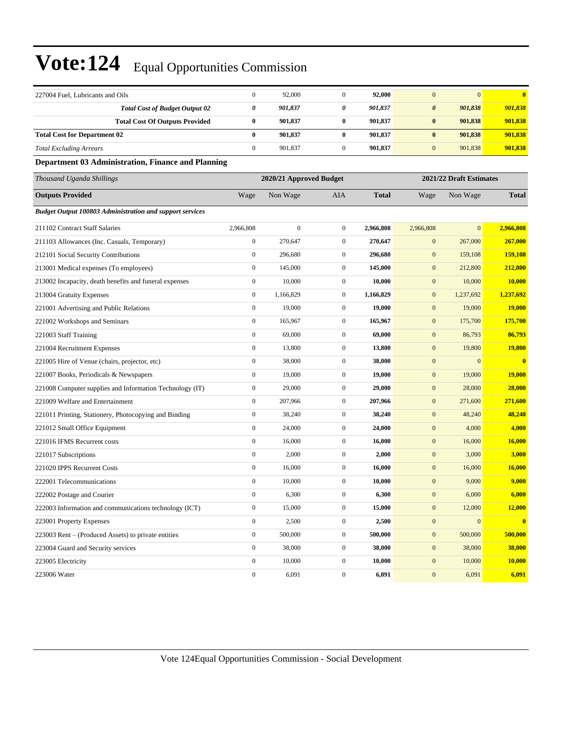| 227004 Fuel, Lubricants and Oils                                | $\boldsymbol{0}$        | 92,000           | $\mathbf{0}$     | 92,000       | $\mathbf{0}$     | $\mathbf{0}$            | $\mathbf{0}$  |  |
|-----------------------------------------------------------------|-------------------------|------------------|------------------|--------------|------------------|-------------------------|---------------|--|
| <b>Total Cost of Budget Output 02</b>                           | 0                       | 901,837          | $\pmb{\theta}$   | 901,837      | $\pmb{\theta}$   | 901,838                 | 901,838       |  |
| <b>Total Cost Of Outputs Provided</b>                           | $\bf{0}$                | 901,837          | $\bf{0}$         | 901,837      | $\pmb{0}$        | 901,838                 | 901,838       |  |
| <b>Total Cost for Department 02</b>                             | $\bf{0}$                | 901,837          | $\bf{0}$         | 901,837      | $\bf{0}$         | 901,838                 | 901,838       |  |
| <b>Total Excluding Arrears</b>                                  | $\boldsymbol{0}$        | 901,837          | $\boldsymbol{0}$ | 901,837      | $\mathbf{0}$     | 901,838                 | 901,838       |  |
| <b>Department 03 Administration, Finance and Planning</b>       |                         |                  |                  |              |                  |                         |               |  |
| Thousand Uganda Shillings                                       | 2020/21 Approved Budget |                  |                  |              |                  | 2021/22 Draft Estimates |               |  |
| <b>Outputs Provided</b>                                         | Wage                    | Non Wage         | <b>AIA</b>       | <b>Total</b> | Wage             | Non Wage                | <b>Total</b>  |  |
| <b>Budget Output 100803 Administration and support services</b> |                         |                  |                  |              |                  |                         |               |  |
| 211102 Contract Staff Salaries                                  | 2,966,808               | $\boldsymbol{0}$ | $\boldsymbol{0}$ | 2,966,808    | 2,966,808        | $\mathbf{0}$            | 2,966,808     |  |
| 211103 Allowances (Inc. Casuals, Temporary)                     | $\boldsymbol{0}$        | 270,647          | $\mathbf{0}$     | 270,647      | $\boldsymbol{0}$ | 267,000                 | 267,000       |  |
| 212101 Social Security Contributions                            | $\boldsymbol{0}$        | 296,680          | $\mathbf{0}$     | 296,680      | $\mathbf{0}$     | 159,108                 | 159,108       |  |
| 213001 Medical expenses (To employees)                          | $\boldsymbol{0}$        | 145,000          | $\mathbf{0}$     | 145,000      | $\mathbf{0}$     | 212,800                 | 212,800       |  |
| 213002 Incapacity, death benefits and funeral expenses          | $\boldsymbol{0}$        | 10,000           | $\boldsymbol{0}$ | 10,000       | $\boldsymbol{0}$ | 10,000                  | 10,000        |  |
| 213004 Gratuity Expenses                                        | $\boldsymbol{0}$        | 1,166,829        | $\boldsymbol{0}$ | 1,166,829    | $\mathbf{0}$     | 1,237,692               | 1,237,692     |  |
| 221001 Advertising and Public Relations                         | $\boldsymbol{0}$        | 19,000           | $\mathbf{0}$     | 19,000       | $\mathbf{0}$     | 19,000                  | 19,000        |  |
| 221002 Workshops and Seminars                                   | $\boldsymbol{0}$        | 165,967          | $\mathbf{0}$     | 165,967      | $\mathbf{0}$     | 175,700                 | 175,700       |  |
| 221003 Staff Training                                           | $\boldsymbol{0}$        | 69,000           | $\boldsymbol{0}$ | 69,000       | $\boldsymbol{0}$ | 86,793                  | 86,793        |  |
| 221004 Recruitment Expenses                                     | $\boldsymbol{0}$        | 13,800           | $\boldsymbol{0}$ | 13,800       | $\mathbf{0}$     | 19,800                  | 19,800        |  |
| 221005 Hire of Venue (chairs, projector, etc)                   | $\boldsymbol{0}$        | 38,000           | $\boldsymbol{0}$ | 38,000       | $\boldsymbol{0}$ | $\mathbf{0}$            | $\bf{0}$      |  |
| 221007 Books, Periodicals & Newspapers                          | $\boldsymbol{0}$        | 19,000           | $\mathbf{0}$     | 19,000       | $\boldsymbol{0}$ | 19,000                  | 19,000        |  |
| 221008 Computer supplies and Information Technology (IT)        | $\boldsymbol{0}$        | 29,000           | $\mathbf{0}$     | 29,000       | $\mathbf{0}$     | 28,000                  | 28,000        |  |
| 221009 Welfare and Entertainment                                | $\boldsymbol{0}$        | 207,966          | $\mathbf{0}$     | 207,966      | $\mathbf{0}$     | 271,600                 | 271,600       |  |
| 221011 Printing, Stationery, Photocopying and Binding           | $\boldsymbol{0}$        | 38,240           | $\boldsymbol{0}$ | 38,240       | $\boldsymbol{0}$ | 48,240                  | 48,240        |  |
| 221012 Small Office Equipment                                   | $\boldsymbol{0}$        | 24,000           | $\boldsymbol{0}$ | 24,000       | $\mathbf{0}$     | 4,000                   | 4,000         |  |
| 221016 IFMS Recurrent costs                                     | $\boldsymbol{0}$        | 16,000           | $\mathbf{0}$     | 16,000       | $\mathbf{0}$     | 16,000                  | 16,000        |  |
| 221017 Subscriptions                                            | $\boldsymbol{0}$        | 2,000            | $\mathbf{0}$     | 2,000        | $\mathbf{0}$     | 3,000                   | 3,000         |  |
| 221020 IPPS Recurrent Costs                                     | $\boldsymbol{0}$        | 16,000           | $\mathbf{0}$     | 16,000       | $\boldsymbol{0}$ | 16,000                  | <b>16,000</b> |  |
| 222001 Telecommunications                                       | $\boldsymbol{0}$        | 10,000           | $\boldsymbol{0}$ | 10,000       | $\mathbf{0}$     | 9,000                   | 9,000         |  |
| 222002 Postage and Courier                                      | $\boldsymbol{0}$        | 6,300            | $\boldsymbol{0}$ | 6,300        | $\mathbf{0}$     | 6,000                   | 6,000         |  |
| 222003 Information and communications technology (ICT)          | $\boldsymbol{0}$        | 15,000           | $\boldsymbol{0}$ | 15,000       | $\boldsymbol{0}$ | 12,000                  | 12,000        |  |
| 223001 Property Expenses                                        | $\boldsymbol{0}$        | 2,500            | $\boldsymbol{0}$ | 2,500        | $\mathbf{0}$     | $\mathbf{0}$            | $\bf{0}$      |  |
| 223003 Rent – (Produced Assets) to private entities             | $\boldsymbol{0}$        | 500,000          | $\mathbf{0}$     | 500,000      | $\boldsymbol{0}$ | 500,000                 | 500,000       |  |
| 223004 Guard and Security services                              | $\boldsymbol{0}$        | 38,000           | $\boldsymbol{0}$ | 38,000       | $\boldsymbol{0}$ | 38,000                  | 38,000        |  |
| 223005 Electricity                                              | $\boldsymbol{0}$        | 10,000           | $\boldsymbol{0}$ | 10,000       | $\mathbf{0}$     | 10,000                  | <b>10,000</b> |  |
| 223006 Water                                                    | $\boldsymbol{0}$        | 6,091            | $\boldsymbol{0}$ | 6,091        | $\boldsymbol{0}$ | 6,091                   | 6,091         |  |